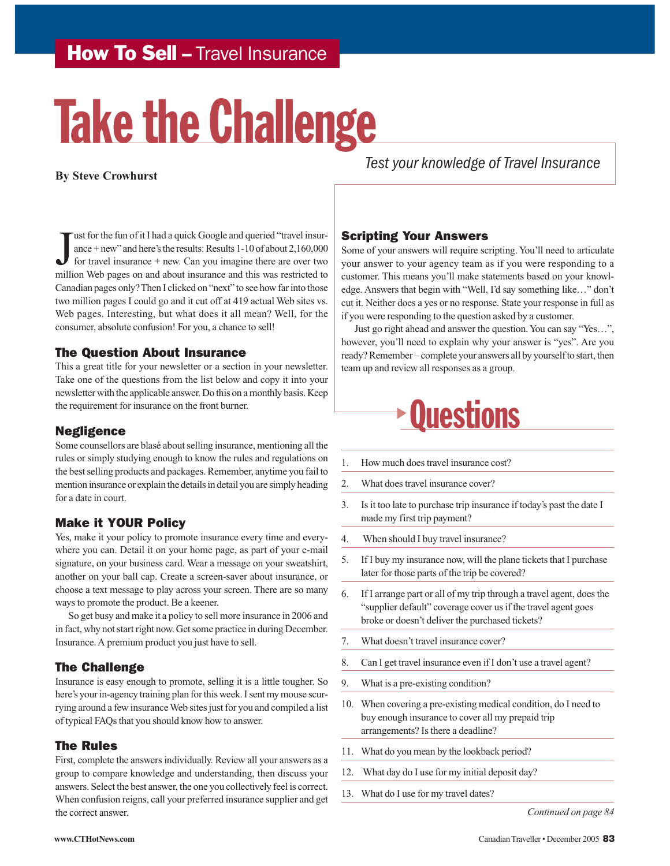## How To Sell - Travel Insurance

# Take the Challenge

#### **By Steve Crowhurst**

Use for the fun of it I had a quick Google and queried "travel insurance + new" and here's the results: Results 1-10 of about 2,160,000 for travel insurance + new. Can you imagine there are over two million Web pages on an ust for the fun of it I had a quick Google and queried "travel insurance + new" and here's the results: Results 1-10 of about 2,160,000 for travel insurance + new. Can you imagine there are over two Canadian pages only? Then I clicked on "next" to see how far into those two million pages I could go and it cut off at 419 actual Web sites vs. Web pages. Interesting, but what does it all mean? Well, for the consumer, absolute confusion! For you, a chance to sell!

#### The Question About Insurance

This a great title for your newsletter or a section in your newsletter. Take one of the questions from the list below and copy it into your newsletter with the applicable answer. Do this on a monthly basis. Keep the requirement for insurance on the front burner.

#### Negligence

Some counsellors are blasé about selling insurance, mentioning all the rules or simply studying enough to know the rules and regulations on the best selling products and packages. Remember, anytime you fail to mention insurance or explain the details in detail you are simply heading for a date in court.

#### Make it YOUR Policy

Yes, make it your policy to promote insurance every time and everywhere you can. Detail it on your home page, as part of your e-mail signature, on your business card. Wear a message on your sweatshirt, another on your ball cap. Create a screen-saver about insurance, or choose a text message to play across your screen. There are so many ways to promote the product. Be a keener.

So get busy and make it a policy to sell more insurance in 2006 and in fact, why not start right now. Get some practice in during December. Insurance. A premium product you just have to sell.

#### The Challenge

Insurance is easy enough to promote, selling it is a little tougher. So here's your in-agency training plan for this week. I sent my mouse scurrying around a few insurance Web sites just for you and compiled a list of typical FAQs that you should know how to answer.

#### The Rules

First, complete the answers individually. Review all your answers as a group to compare knowledge and understanding, then discuss your answers. Select the best answer, the one you collectively feel is correct. When confusion reigns, call your preferred insurance supplier and get the correct answer.

*Test your knowledge of Travel Insurance*

#### Scripting Your Answers

Some of your answers will require scripting. You'll need to articulate your answer to your agency team as if you were responding to a customer. This means you'll make statements based on your knowledge. Answers that begin with "Well, I'd say something like…" don't cut it. Neither does a yes or no response. State your response in full as if you were responding to the question asked by a customer.

Just go right ahead and answer the question. You can say "Yes…", however, you'll need to explain why your answer is "yes". Are you ready? Remember – complete your answers all by yourself to start, then team up and review all responses as a group.

# **Questions**

- 1. How much does travel insurance cost?
- 2. What does travel insurance cover?
- 3. Is it too late to purchase trip insurance if today's past the date I made my first trip payment?
- 4. When should I buy travel insurance?
- 5. If I buy my insurance now, will the plane tickets that I purchase later for those parts of the trip be covered?
- 6. If I arrange part or all of my trip through a travel agent, does the "supplier default" coverage cover us if the travel agent goes broke or doesn't deliver the purchased tickets?
- 7. What doesn't travel insurance cover?
- 8. Can I get travel insurance even if I don't use a travel agent?
- 9. What is a pre-existing condition?
- 10. When covering a pre-existing medical condition, do I need to buy enough insurance to cover all my prepaid trip arrangements? Is there a deadline?
- 11. What do you mean by the lookback period?
- 12. What day do I use for my initial deposit day?
- 13. What do I use for my travel dates?

*Continued on page 84*